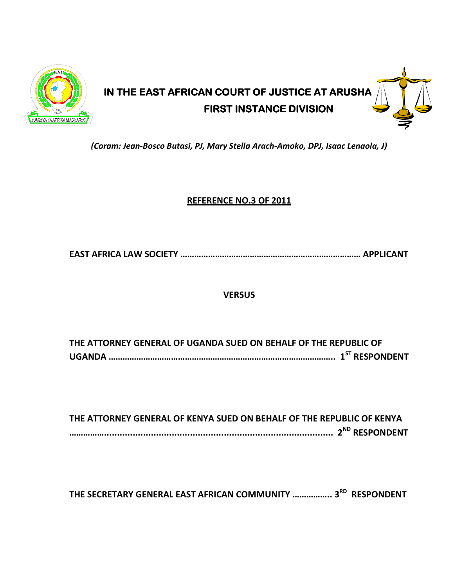

# IN THE EAST AFRICAN COURT OF JUSTICE AT ARUSHA **FIRST INSTANCE DIVISION**

(Coram: Jean-Bosco Butasi, PJ, Mary Stella Arach-Amoko, DPJ, Isaac Lenaola, J)

# REFERENCE NO.3 OF 2011

EAST AFRICA LAW SOCIETY …………………………………………………………………… APPLICANT

# **VERSUS**

THE ATTORNEY GENERAL OF UGANDA SUED ON BEHALF OF THE REPUBLIC OF UGANDA …………………………………………………………………………………….. 1ST RESPONDENT

THE ATTORNEY GENERAL OF KENYA SUED ON BEHALF OF THE REPUBLIC OF KENYA ……………........................................................................................ 2ND RESPONDENT

THE SECRETARY GENERAL EAST AFRICAN COMMUNITY ................. 3<sup>RD</sup> RESPONDENT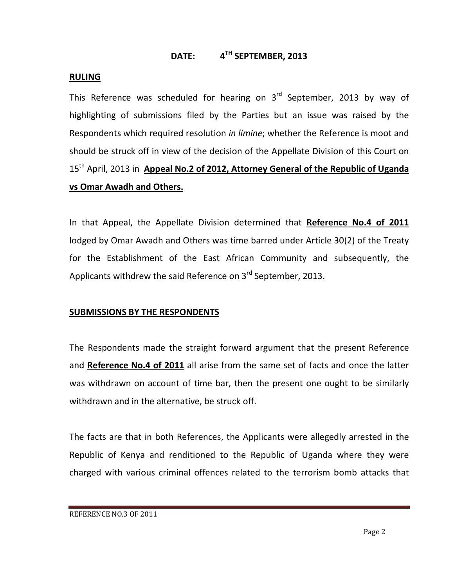# DATE: 4<sup>TH</sup> SEPTEMBER, 2013

## RULING

This Reference was scheduled for hearing on  $3<sup>rd</sup>$  September, 2013 by way of highlighting of submissions filed by the Parties but an issue was raised by the Respondents which required resolution in limine; whether the Reference is moot and should be struck off in view of the decision of the Appellate Division of this Court on 15<sup>th</sup> April, 2013 in Appeal No.2 of 2012, Attorney General of the Republic of Uganda vs Omar Awadh and Others.

In that Appeal, the Appellate Division determined that Reference No.4 of 2011 lodged by Omar Awadh and Others was time barred under Article 30(2) of the Treaty for the Establishment of the East African Community and subsequently, the Applicants withdrew the said Reference on 3<sup>rd</sup> September, 2013.

## SUBMISSIONS BY THE RESPONDENTS

The Respondents made the straight forward argument that the present Reference and Reference No.4 of 2011 all arise from the same set of facts and once the latter was withdrawn on account of time bar, then the present one ought to be similarly withdrawn and in the alternative, be struck off.

The facts are that in both References, the Applicants were allegedly arrested in the Republic of Kenya and renditioned to the Republic of Uganda where they were charged with various criminal offences related to the terrorism bomb attacks that

REFERENCE NO.3 OF 2011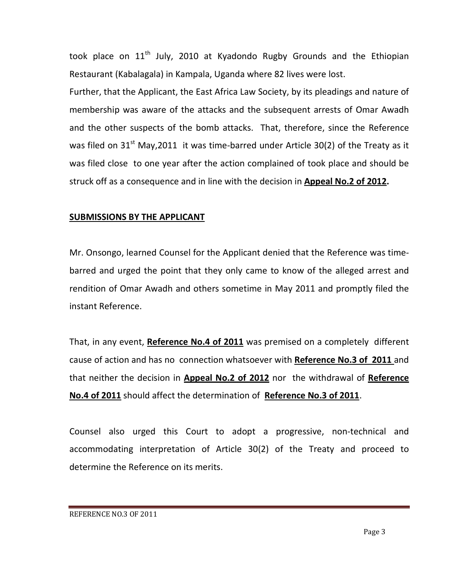took place on  $11<sup>th</sup>$  July, 2010 at Kyadondo Rugby Grounds and the Ethiopian Restaurant (Kabalagala) in Kampala, Uganda where 82 lives were lost.

Further, that the Applicant, the East Africa Law Society, by its pleadings and nature of membership was aware of the attacks and the subsequent arrests of Omar Awadh and the other suspects of the bomb attacks. That, therefore, since the Reference was filed on  $31<sup>st</sup>$  May, 2011 it was time-barred under Article 30(2) of the Treaty as it was filed close to one year after the action complained of took place and should be struck off as a consequence and in line with the decision in **Appeal No.2 of 2012.** 

## SUBMISSIONS BY THE APPLICANT

Mr. Onsongo, learned Counsel for the Applicant denied that the Reference was timebarred and urged the point that they only came to know of the alleged arrest and rendition of Omar Awadh and others sometime in May 2011 and promptly filed the instant Reference.

That, in any event, Reference No.4 of 2011 was premised on a completely different cause of action and has no connection whatsoever with Reference No.3 of 2011 and that neither the decision in **Appeal No.2 of 2012** nor the withdrawal of Reference No.4 of 2011 should affect the determination of Reference No.3 of 2011.

Counsel also urged this Court to adopt a progressive, non-technical and accommodating interpretation of Article 30(2) of the Treaty and proceed to determine the Reference on its merits.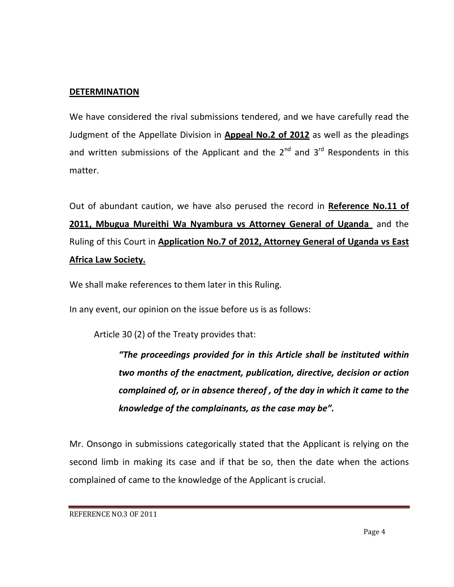## **DETERMINATION**

We have considered the rival submissions tendered, and we have carefully read the Judgment of the Appellate Division in **Appeal No.2 of 2012** as well as the pleadings and written submissions of the Applicant and the  $2^{nd}$  and  $3^{rd}$  Respondents in this matter.

Out of abundant caution, we have also perused the record in Reference No.11 of 2011, Mbugua Mureithi Wa Nyambura vs Attorney General of Uganda and the Ruling of this Court in Application No.7 of 2012, Attorney General of Uganda vs East Africa Law Society.

We shall make references to them later in this Ruling.

In any event, our opinion on the issue before us is as follows:

Article 30 (2) of the Treaty provides that:

"The proceedings provided for in this Article shall be instituted within two months of the enactment, publication, directive, decision or action complained of, or in absence thereof , of the day in which it came to the knowledge of the complainants, as the case may be".

Mr. Onsongo in submissions categorically stated that the Applicant is relying on the second limb in making its case and if that be so, then the date when the actions complained of came to the knowledge of the Applicant is crucial.

REFERENCE NO.3 OF 2011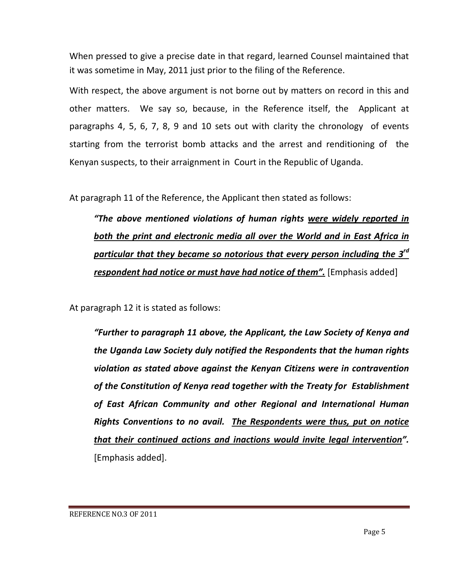When pressed to give a precise date in that regard, learned Counsel maintained that it was sometime in May, 2011 just prior to the filing of the Reference.

With respect, the above argument is not borne out by matters on record in this and other matters. We say so, because, in the Reference itself, the Applicant at paragraphs 4, 5, 6, 7, 8, 9 and 10 sets out with clarity the chronology of events starting from the terrorist bomb attacks and the arrest and renditioning of the Kenyan suspects, to their arraignment in Court in the Republic of Uganda.

At paragraph 11 of the Reference, the Applicant then stated as follows:

"The above mentioned violations of human rights were widely reported in both the print and electronic media all over the World and in East Africa in particular that they became so notorious that every person including the 3<sup>rd</sup> respondent had notice or must have had notice of them". [Emphasis added]

At paragraph 12 it is stated as follows:

"Further to paragraph 11 above, the Applicant, the Law Society of Kenya and the Uganda Law Society duly notified the Respondents that the human rights violation as stated above against the Kenyan Citizens were in contravention of the Constitution of Kenya read together with the Treaty for Establishment of East African Community and other Regional and International Human Rights Conventions to no avail. The Respondents were thus, put on notice that their continued actions and inactions would invite legal intervention". [Emphasis added].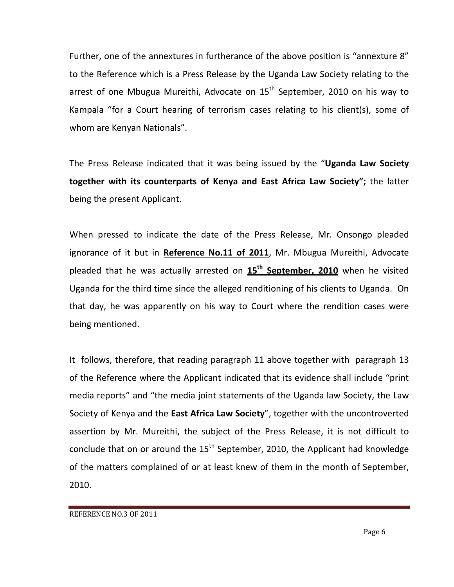Further, one of the annextures in furtherance of the above position is "annexture 8" to the Reference which is a Press Release by the Uganda Law Society relating to the arrest of one Mbugua Mureithi, Advocate on  $15<sup>th</sup>$  September, 2010 on his way to Kampala "for a Court hearing of terrorism cases relating to his client(s), some of whom are Kenyan Nationals".

The Press Release indicated that it was being issued by the "Uganda Law Society together with its counterparts of Kenya and East Africa Law Society"; the latter being the present Applicant.

When pressed to indicate the date of the Press Release, Mr. Onsongo pleaded ignorance of it but in Reference No.11 of 2011, Mr. Mbugua Mureithi, Advocate pleaded that he was actually arrested on 15<sup>th</sup> September, 2010 when he visited Uganda for the third time since the alleged renditioning of his clients to Uganda. On that day, he was apparently on his way to Court where the rendition cases were being mentioned.

It follows, therefore, that reading paragraph 11 above together with paragraph 13 of the Reference where the Applicant indicated that its evidence shall include "print media reports" and "the media joint statements of the Uganda law Society, the Law Society of Kenya and the East Africa Law Society", together with the uncontroverted assertion by Mr. Mureithi, the subject of the Press Release, it is not difficult to conclude that on or around the  $15<sup>th</sup>$  September, 2010, the Applicant had knowledge of the matters complained of or at least knew of them in the month of September, 2010.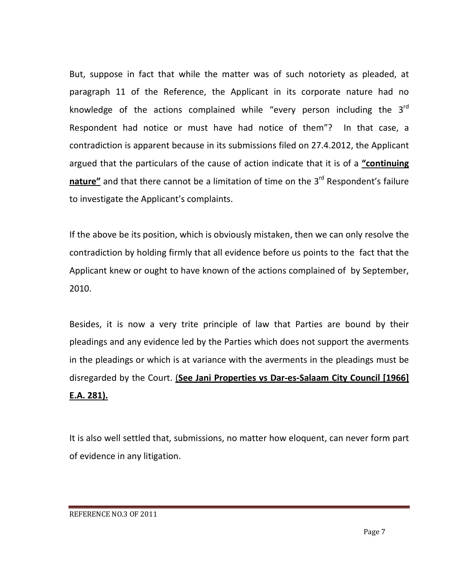But, suppose in fact that while the matter was of such notoriety as pleaded, at paragraph 11 of the Reference, the Applicant in its corporate nature had no knowledge of the actions complained while "every person including the  $3<sup>rd</sup>$ Respondent had notice or must have had notice of them"? In that case, a contradiction is apparent because in its submissions filed on 27.4.2012, the Applicant argued that the particulars of the cause of action indicate that it is of a "continuing nature" and that there cannot be a limitation of time on the  $3<sup>rd</sup>$  Respondent's failure to investigate the Applicant's complaints.

If the above be its position, which is obviously mistaken, then we can only resolve the contradiction by holding firmly that all evidence before us points to the fact that the Applicant knew or ought to have known of the actions complained of by September, 2010.

Besides, it is now a very trite principle of law that Parties are bound by their pleadings and any evidence led by the Parties which does not support the averments in the pleadings or which is at variance with the averments in the pleadings must be disregarded by the Court. (See Jani Properties vs Dar-es-Salaam City Council [1966] E.A. 281).

It is also well settled that, submissions, no matter how eloquent, can never form part of evidence in any litigation.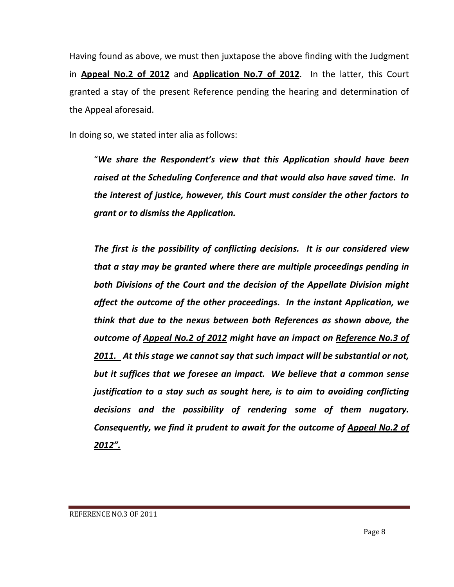Having found as above, we must then juxtapose the above finding with the Judgment in Appeal No.2 of 2012 and Application No.7 of 2012. In the latter, this Court granted a stay of the present Reference pending the hearing and determination of the Appeal aforesaid.

In doing so, we stated inter alia as follows:

"We share the Respondent's view that this Application should have been raised at the Scheduling Conference and that would also have saved time. In the interest of justice, however, this Court must consider the other factors to grant or to dismiss the Application.

The first is the possibility of conflicting decisions. It is our considered view that a stay may be granted where there are multiple proceedings pending in both Divisions of the Court and the decision of the Appellate Division might affect the outcome of the other proceedings. In the instant Application, we think that due to the nexus between both References as shown above, the outcome of Appeal No.2 of 2012 might have an impact on Reference No.3 of 2011. At this stage we cannot say that such impact will be substantial or not, but it suffices that we foresee an impact. We believe that a common sense justification to a stay such as sought here, is to aim to avoiding conflicting decisions and the possibility of rendering some of them nugatory. Consequently, we find it prudent to await for the outcome of Appeal No.2 of 2012".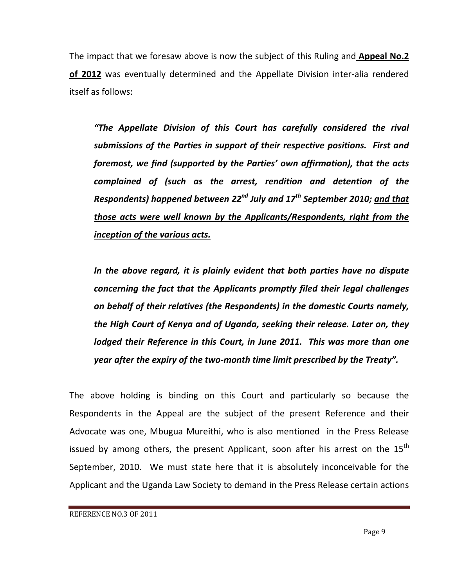The impact that we foresaw above is now the subject of this Ruling and **Appeal No.2** of 2012 was eventually determined and the Appellate Division inter-alia rendered itself as follows:

"The Appellate Division of this Court has carefully considered the rival submissions of the Parties in support of their respective positions. First and foremost, we find (supported by the Parties' own affirmation), that the acts complained of (such as the arrest, rendition and detention of the Respondents) happened between 22<sup>nd</sup> July and 17<sup>th</sup> September 2010; and that those acts were well known by the Applicants/Respondents, right from the inception of the various acts.

In the above regard, it is plainly evident that both parties have no dispute concerning the fact that the Applicants promptly filed their legal challenges on behalf of their relatives (the Respondents) in the domestic Courts namely, the High Court of Kenya and of Uganda, seeking their release. Later on, they lodged their Reference in this Court, in June 2011. This was more than one year after the expiry of the two-month time limit prescribed by the Treaty".

The above holding is binding on this Court and particularly so because the Respondents in the Appeal are the subject of the present Reference and their Advocate was one, Mbugua Mureithi, who is also mentioned in the Press Release issued by among others, the present Applicant, soon after his arrest on the  $15<sup>th</sup>$ September, 2010. We must state here that it is absolutely inconceivable for the Applicant and the Uganda Law Society to demand in the Press Release certain actions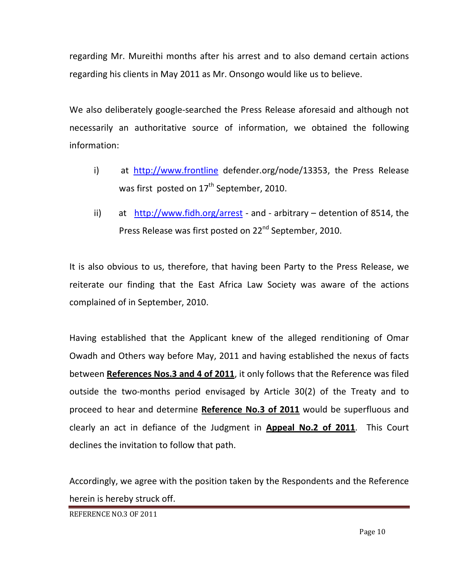regarding Mr. Mureithi months after his arrest and to also demand certain actions regarding his clients in May 2011 as Mr. Onsongo would like us to believe.

We also deliberately google-searched the Press Release aforesaid and although not necessarily an authoritative source of information, we obtained the following information:

- i) at http://www.frontline defender.org/node/13353, the Press Release was first posted on  $17<sup>th</sup>$  September, 2010.
- ii) at http://www.fidh.org/arrest and arbitrary detention of 8514, the Press Release was first posted on 22<sup>nd</sup> September, 2010.

It is also obvious to us, therefore, that having been Party to the Press Release, we reiterate our finding that the East Africa Law Society was aware of the actions complained of in September, 2010.

Having established that the Applicant knew of the alleged renditioning of Omar Owadh and Others way before May, 2011 and having established the nexus of facts between References Nos.3 and 4 of 2011, it only follows that the Reference was filed outside the two-months period envisaged by Article 30(2) of the Treaty and to proceed to hear and determine Reference No.3 of 2011 would be superfluous and clearly an act in defiance of the Judgment in **Appeal No.2 of 2011**. This Court declines the invitation to follow that path.

Accordingly, we agree with the position taken by the Respondents and the Reference herein is hereby struck off.

REFERENCE NO.3 OF 2011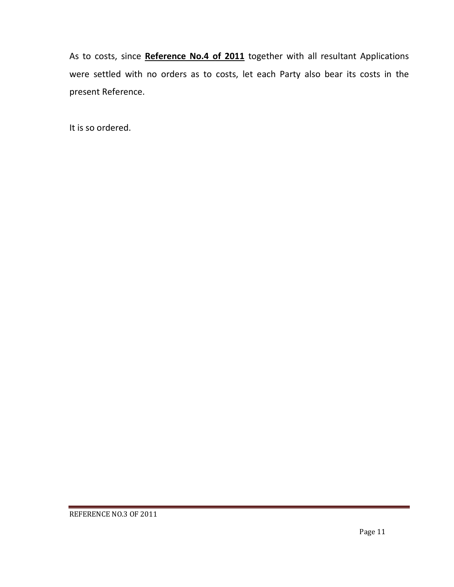As to costs, since Reference No.4 of 2011 together with all resultant Applications were settled with no orders as to costs, let each Party also bear its costs in the present Reference.

It is so ordered.